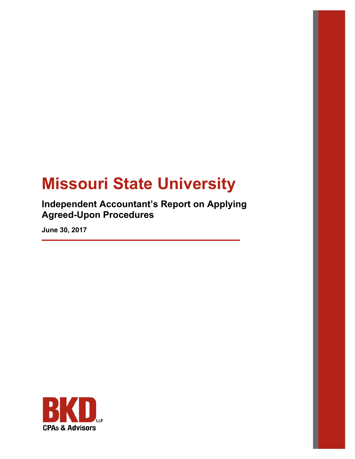# **Missouri State University**

**Independent Accountant's Report on Applying Agreed-Upon Procedures** 

**June 30, 2017** 

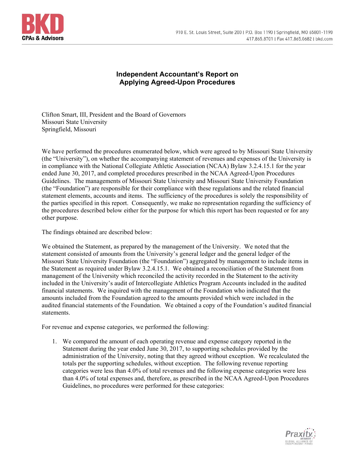

## **Independent Accountant's Report on Applying Agreed-Upon Procedures**

Clifton Smart, III, President and the Board of Governors Missouri State University Springfield, Missouri

We have performed the procedures enumerated below, which were agreed to by Missouri State University (the "University"), on whether the accompanying statement of revenues and expenses of the University is in compliance with the National Collegiate Athletic Association (NCAA) Bylaw 3.2.4.15.1 for the year ended June 30, 2017, and completed procedures prescribed in the NCAA Agreed-Upon Procedures Guidelines. The managements of Missouri State University and Missouri State University Foundation (the "Foundation") are responsible for their compliance with these regulations and the related financial statement elements, accounts and items. The sufficiency of the procedures is solely the responsibility of the parties specified in this report. Consequently, we make no representation regarding the sufficiency of the procedures described below either for the purpose for which this report has been requested or for any other purpose.

The findings obtained are described below:

We obtained the Statement, as prepared by the management of the University. We noted that the statement consisted of amounts from the University's general ledger and the general ledger of the Missouri State University Foundation (the "Foundation") aggregated by management to include items in the Statement as required under Bylaw 3.2.4.15.1. We obtained a reconciliation of the Statement from management of the University which reconciled the activity recorded in the Statement to the activity included in the University's audit of Intercollegiate Athletics Program Accounts included in the audited financial statements. We inquired with the management of the Foundation who indicated that the amounts included from the Foundation agreed to the amounts provided which were included in the audited financial statements of the Foundation. We obtained a copy of the Foundation's audited financial statements.

For revenue and expense categories, we performed the following:

1. We compared the amount of each operating revenue and expense category reported in the Statement during the year ended June 30, 2017, to supporting schedules provided by the administration of the University, noting that they agreed without exception. We recalculated the totals per the supporting schedules, without exception. The following revenue reporting categories were less than 4.0% of total revenues and the following expense categories were less than 4.0% of total expenses and, therefore, as prescribed in the NCAA Agreed-Upon Procedures Guidelines, no procedures were performed for these categories:

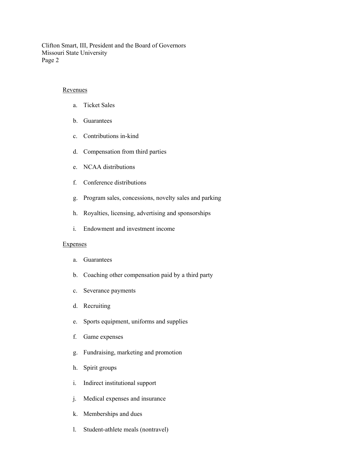#### Revenues

- a. Ticket Sales
- b. Guarantees
- c. Contributions in-kind
- d. Compensation from third parties
- e. NCAA distributions
- f. Conference distributions
- g. Program sales, concessions, novelty sales and parking
- h. Royalties, licensing, advertising and sponsorships
- i. Endowment and investment income

#### **Expenses**

- a. Guarantees
- b. Coaching other compensation paid by a third party
- c. Severance payments
- d. Recruiting
- e. Sports equipment, uniforms and supplies
- f. Game expenses
- g. Fundraising, marketing and promotion
- h. Spirit groups
- i. Indirect institutional support
- j. Medical expenses and insurance
- k. Memberships and dues
- l. Student-athlete meals (nontravel)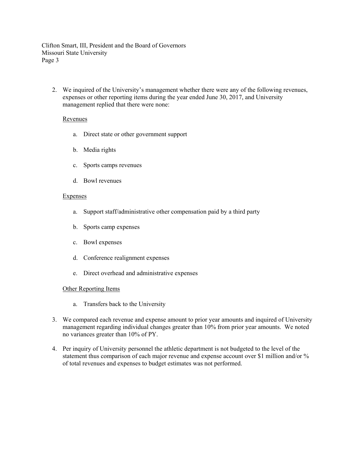2. We inquired of the University's management whether there were any of the following revenues, expenses or other reporting items during the year ended June 30, 2017, and University management replied that there were none:

#### Revenues

- a. Direct state or other government support
- b. Media rights
- c. Sports camps revenues
- d. Bowl revenues

#### **Expenses**

- a. Support staff/administrative other compensation paid by a third party
- b. Sports camp expenses
- c. Bowl expenses
- d. Conference realignment expenses
- e. Direct overhead and administrative expenses

#### Other Reporting Items

- a. Transfers back to the University
- 3. We compared each revenue and expense amount to prior year amounts and inquired of University management regarding individual changes greater than 10% from prior year amounts. We noted no variances greater than 10% of PY.
- 4. Per inquiry of University personnel the athletic department is not budgeted to the level of the statement thus comparison of each major revenue and expense account over \$1 million and/or % of total revenues and expenses to budget estimates was not performed.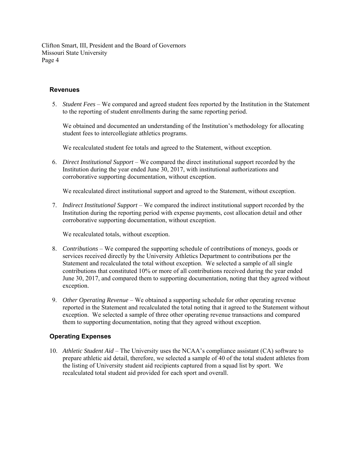#### **Revenues**

5. *Student Fees* – We compared and agreed student fees reported by the Institution in the Statement to the reporting of student enrollments during the same reporting period.

We obtained and documented an understanding of the Institution's methodology for allocating student fees to intercollegiate athletics programs.

We recalculated student fee totals and agreed to the Statement, without exception.

6. *Direct Institutional Support* – We compared the direct institutional support recorded by the Institution during the year ended June 30, 2017, with institutional authorizations and corroborative supporting documentation, without exception.

We recalculated direct institutional support and agreed to the Statement, without exception.

7. *Indirect Institutional Support* – We compared the indirect institutional support recorded by the Institution during the reporting period with expense payments, cost allocation detail and other corroborative supporting documentation, without exception.

We recalculated totals, without exception.

- 8. *Contributions* We compared the supporting schedule of contributions of moneys, goods or services received directly by the University Athletics Department to contributions per the Statement and recalculated the total without exception. We selected a sample of all single contributions that constituted 10% or more of all contributions received during the year ended June 30, 2017, and compared them to supporting documentation, noting that they agreed without exception.
- 9. *Other Operating Revenue*  We obtained a supporting schedule for other operating revenue reported in the Statement and recalculated the total noting that it agreed to the Statement without exception. We selected a sample of three other operating revenue transactions and compared them to supporting documentation, noting that they agreed without exception.

#### **Operating Expenses**

10. *Athletic Student Aid* – The University uses the NCAA's compliance assistant (CA) software to prepare athletic aid detail, therefore, we selected a sample of 40 of the total student athletes from the listing of University student aid recipients captured from a squad list by sport. We recalculated total student aid provided for each sport and overall.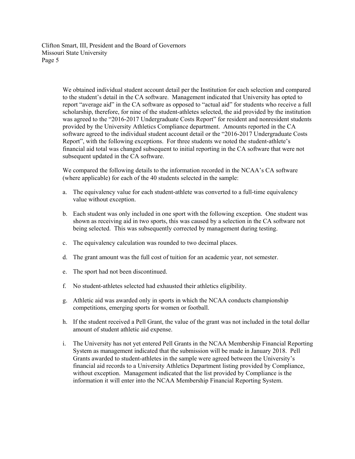> We obtained individual student account detail per the Institution for each selection and compared to the student's detail in the CA software. Management indicated that University has opted to report "average aid" in the CA software as opposed to "actual aid" for students who receive a full scholarship, therefore, for nine of the student-athletes selected, the aid provided by the institution was agreed to the "2016-2017 Undergraduate Costs Report" for resident and nonresident students provided by the University Athletics Compliance department. Amounts reported in the CA software agreed to the individual student account detail or the "2016-2017 Undergraduate Costs Report", with the following exceptions. For three students we noted the student-athlete's financial aid total was changed subsequent to initial reporting in the CA software that were not subsequent updated in the CA software.

We compared the following details to the information recorded in the NCAA's CA software (where applicable) for each of the 40 students selected in the sample:

- a. The equivalency value for each student-athlete was converted to a full-time equivalency value without exception.
- b. Each student was only included in one sport with the following exception. One student was shown as receiving aid in two sports, this was caused by a selection in the CA software not being selected. This was subsequently corrected by management during testing.
- c. The equivalency calculation was rounded to two decimal places.
- d. The grant amount was the full cost of tuition for an academic year, not semester.
- e. The sport had not been discontinued.
- f. No student-athletes selected had exhausted their athletics eligibility.
- g. Athletic aid was awarded only in sports in which the NCAA conducts championship competitions, emerging sports for women or football.
- h. If the student received a Pell Grant, the value of the grant was not included in the total dollar amount of student athletic aid expense.
- i. The University has not yet entered Pell Grants in the NCAA Membership Financial Reporting System as management indicated that the submission will be made in January 2018. Pell Grants awarded to student-athletes in the sample were agreed between the University's financial aid records to a University Athletics Department listing provided by Compliance, without exception. Management indicated that the list provided by Compliance is the information it will enter into the NCAA Membership Financial Reporting System.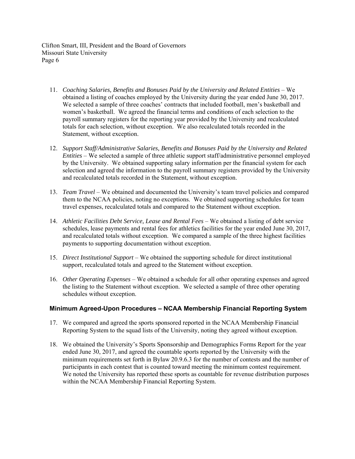- 11. *Coaching Salaries, Benefits and Bonuses Paid by the University and Related Entities* We obtained a listing of coaches employed by the University during the year ended June 30, 2017. We selected a sample of three coaches' contracts that included football, men's basketball and women's basketball. We agreed the financial terms and conditions of each selection to the payroll summary registers for the reporting year provided by the University and recalculated totals for each selection, without exception. We also recalculated totals recorded in the Statement, without exception.
- 12. *Support Staff/Administrative Salaries, Benefits and Bonuses Paid by the University and Related Entities* – We selected a sample of three athletic support staff/administrative personnel employed by the University. We obtained supporting salary information per the financial system for each selection and agreed the information to the payroll summary registers provided by the University and recalculated totals recorded in the Statement, without exception.
- 13. *Team Travel*  We obtained and documented the University's team travel policies and compared them to the NCAA policies, noting no exceptions. We obtained supporting schedules for team travel expenses, recalculated totals and compared to the Statement without exception.
- 14. *Athletic Facilities Debt Service, Lease and Rental Fees*  We obtained a listing of debt service schedules, lease payments and rental fees for athletics facilities for the year ended June 30, 2017, and recalculated totals without exception. We compared a sample of the three highest facilities payments to supporting documentation without exception.
- 15. *Direct Institutional Support*  We obtained the supporting schedule for direct institutional support, recalculated totals and agreed to the Statement without exception.
- 16. *Other Operating Expenses*  We obtained a schedule for all other operating expenses and agreed the listing to the Statement without exception. We selected a sample of three other operating schedules without exception.

#### **Minimum Agreed-Upon Procedures – NCAA Membership Financial Reporting System**

- 17. We compared and agreed the sports sponsored reported in the NCAA Membership Financial Reporting System to the squad lists of the University, noting they agreed without exception.
- 18. We obtained the University's Sports Sponsorship and Demographics Forms Report for the year ended June 30, 2017, and agreed the countable sports reported by the University with the minimum requirements set forth in Bylaw 20.9.6.3 for the number of contests and the number of participants in each contest that is counted toward meeting the minimum contest requirement. We noted the University has reported these sports as countable for revenue distribution purposes within the NCAA Membership Financial Reporting System.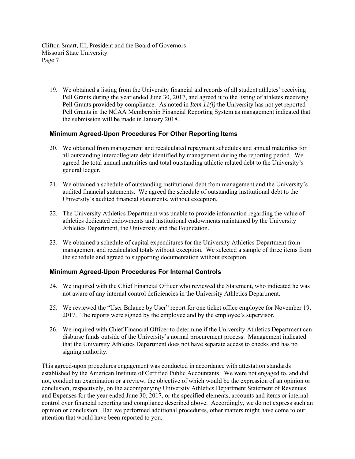19. We obtained a listing from the University financial aid records of all student athletes' receiving Pell Grants during the year ended June 30, 2017, and agreed it to the listing of athletes receiving Pell Grants provided by compliance. As noted in *Item 11(i)* the University has not yet reported Pell Grants in the NCAA Membership Financial Reporting System as management indicated that the submission will be made in January 2018.

#### **Minimum Agreed-Upon Procedures For Other Reporting Items**

- 20. We obtained from management and recalculated repayment schedules and annual maturities for all outstanding intercollegiate debt identified by management during the reporting period. We agreed the total annual maturities and total outstanding athletic related debt to the University's general ledger.
- 21. We obtained a schedule of outstanding institutional debt from management and the University's audited financial statements. We agreed the schedule of outstanding institutional debt to the University's audited financial statements, without exception.
- 22. The University Athletics Department was unable to provide information regarding the value of athletics dedicated endowments and institutional endowments maintained by the University Athletics Department, the University and the Foundation.
- 23. We obtained a schedule of capital expenditures for the University Athletics Department from management and recalculated totals without exception. We selected a sample of three items from the schedule and agreed to supporting documentation without exception.

#### **Minimum Agreed-Upon Procedures For Internal Controls**

- 24. We inquired with the Chief Financial Officer who reviewed the Statement, who indicated he was not aware of any internal control deficiencies in the University Athletics Department.
- 25. We reviewed the "User Balance by User" report for one ticket office employee for November 19, 2017. The reports were signed by the employee and by the employee's supervisor.
- 26. We inquired with Chief Financial Officer to determine if the University Athletics Department can disburse funds outside of the University's normal procurement process. Management indicated that the University Athletics Department does not have separate access to checks and has no signing authority.

This agreed-upon procedures engagement was conducted in accordance with attestation standards established by the American Institute of Certified Public Accountants. We were not engaged to, and did not, conduct an examination or a review, the objective of which would be the expression of an opinion or conclusion, respectively, on the accompanying University Athletics Department Statement of Revenues and Expenses for the year ended June 30, 2017, or the specified elements, accounts and items or internal control over financial reporting and compliance described above. Accordingly, we do not express such an opinion or conclusion. Had we performed additional procedures, other matters might have come to our attention that would have been reported to you.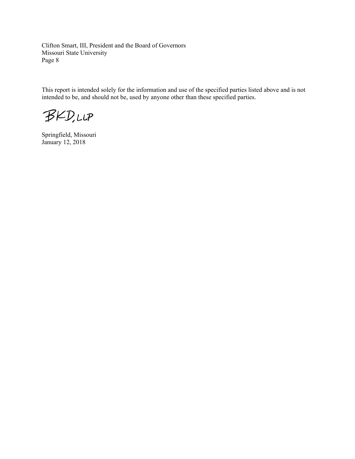This report is intended solely for the information and use of the specified parties listed above and is not intended to be, and should not be, used by anyone other than these specified parties.

**BKD,LLP** 

Springfield, Missouri January 12, 2018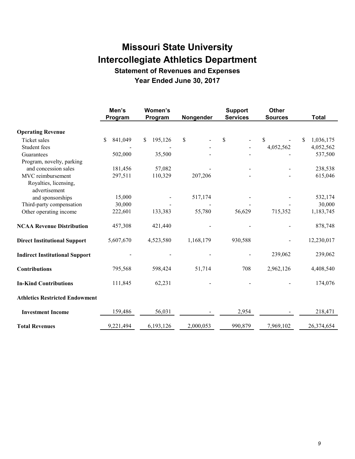**Statement of Revenues and Expenses** 

**Year Ended June 30, 2017** 

|                                        | Men's          | Women's       |           | <b>Support</b>  | <b>Other</b>   |                  |
|----------------------------------------|----------------|---------------|-----------|-----------------|----------------|------------------|
|                                        | Program        | Program       | Nongender | <b>Services</b> | <b>Sources</b> | <b>Total</b>     |
| <b>Operating Revenue</b>               |                |               |           |                 |                |                  |
| Ticket sales                           | 841,049<br>\$. | 195,126<br>S. | \$        | \$              | \$             | 1,036,175<br>\$. |
| Student fees                           |                |               |           |                 | 4,052,562      | 4,052,562        |
| Guarantees                             | 502,000        | 35,500        |           |                 |                | 537,500          |
| Program, novelty, parking              |                |               |           |                 |                |                  |
| and concession sales                   | 181,456        | 57,082        |           |                 |                | 238,538          |
| MVC reimbursement                      | 297,511        | 110,329       | 207,206   |                 |                | 615,046          |
| Royalties, licensing,<br>advertisement |                |               |           |                 |                |                  |
| and sponsorships                       | 15,000         |               | 517,174   |                 |                | 532,174          |
| Third-party compensation               | 30,000         |               |           |                 |                | 30,000           |
| Other operating income                 | 222,601        | 133,383       | 55,780    | 56,629          | 715,352        | 1,183,745        |
| <b>NCAA Revenue Distribution</b>       | 457,308        | 421,440       |           |                 |                | 878,748          |
| <b>Direct Institutional Support</b>    | 5,607,670      | 4,523,580     | 1,168,179 | 930,588         |                | 12,230,017       |
| <b>Indirect Institutional Support</b>  |                |               |           |                 | 239,062        | 239,062          |
| <b>Contributions</b>                   | 795,568        | 598,424       | 51,714    | 708             | 2,962,126      | 4,408,540        |
| <b>In-Kind Contributions</b>           | 111,845        | 62,231        |           |                 |                | 174,076          |
| <b>Athletics Restricted Endowment</b>  |                |               |           |                 |                |                  |
| <b>Investment Income</b>               | 159,486        | 56,031        |           | 2,954           |                | 218,471          |
| <b>Total Revenues</b>                  | 9,221,494      | 6,193,126     | 2,000,053 | 990,879         | 7,969,102      | 26,374,654       |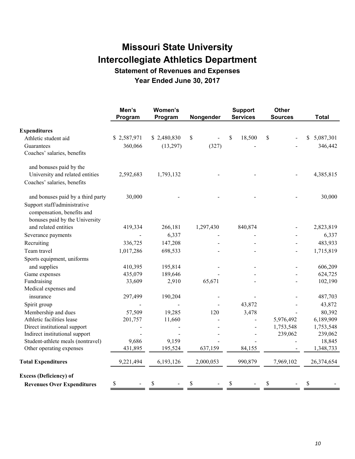**Statement of Revenues and Expenses** 

**Year Ended June 30, 2017** 

|                                                                                              | Men's<br>Program | Women's<br>Program | Nongender | <b>Support</b><br><b>Services</b> | <b>Other</b><br><b>Sources</b> | <b>Total</b>    |
|----------------------------------------------------------------------------------------------|------------------|--------------------|-----------|-----------------------------------|--------------------------------|-----------------|
| <b>Expenditures</b>                                                                          |                  |                    |           |                                   |                                |                 |
| Athletic student aid                                                                         | \$2,587,971      | \$2,480,830        | \$        | \$<br>18,500                      | \$                             | 5,087,301<br>\$ |
| Guarantees<br>Coaches' salaries, benefits                                                    | 360,066          | (13,297)           | (327)     |                                   |                                | 346,442         |
| and bonuses paid by the                                                                      |                  |                    |           |                                   |                                |                 |
| University and related entities                                                              | 2,592,683        | 1,793,132          |           |                                   |                                | 4,385,815       |
| Coaches' salaries, benefits                                                                  |                  |                    |           |                                   |                                |                 |
| and bonuses paid by a third party                                                            | 30,000           |                    |           |                                   |                                | 30,000          |
| Support staff/administrative<br>compensation, benefits and<br>bonuses paid by the University |                  |                    |           |                                   |                                |                 |
| and related entities                                                                         | 419,334          | 266,181            | 1,297,430 | 840,874                           |                                | 2,823,819       |
| Severance payments                                                                           |                  | 6,337              |           |                                   |                                | 6,337           |
| Recruiting                                                                                   | 336,725          | 147,208            |           |                                   |                                | 483,933         |
| Team travel                                                                                  | 1,017,286        | 698,533            |           |                                   |                                | 1,715,819       |
| Sports equipment, uniforms                                                                   |                  |                    |           |                                   |                                |                 |
| and supplies                                                                                 | 410,395          | 195,814            |           |                                   |                                | 606,209         |
| Game expenses                                                                                | 435,079          | 189,646            |           |                                   |                                | 624,725         |
| Fundraising                                                                                  | 33,609           | 2,910              | 65,671    |                                   |                                | 102,190         |
| Medical expenses and                                                                         |                  |                    |           |                                   |                                |                 |
| insurance                                                                                    | 297,499          | 190,204            |           |                                   |                                | 487,703         |
| Spirit group                                                                                 |                  |                    |           | 43,872                            |                                | 43,872          |
| Membership and dues                                                                          | 57,509           | 19,285             | 120       | 3,478                             |                                | 80,392          |
| Athletic facilities lease                                                                    | 201,757          | 11,660             |           |                                   | 5,976,492                      | 6,189,909       |
| Direct institutional support                                                                 |                  |                    |           |                                   | 1,753,548                      | 1,753,548       |
| Indirect institutional support                                                               |                  |                    |           |                                   | 239,062                        | 239,062         |
| Student-athlete meals (nontravel)                                                            | 9,686            | 9,159              |           |                                   |                                | 18,845          |
| Other operating expenses                                                                     | 431,895          | 195,524            | 637,159   | 84,155                            |                                | 1,348,733       |
| <b>Total Expenditures</b>                                                                    | 9,221,494        | 6,193,126          | 2,000,053 | 990,879                           | 7,969,102                      | 26,374,654      |
| <b>Excess (Deficiency) of</b>                                                                |                  |                    |           |                                   |                                |                 |
| <b>Revenues Over Expenditures</b>                                                            | \$               | \$                 | \$        | \$                                | \$                             | \$              |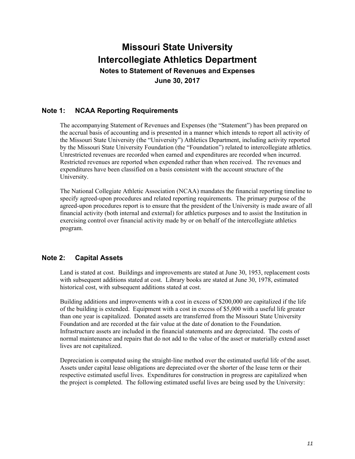**Notes to Statement of Revenues and Expenses June 30, 2017** 

### **Note 1: NCAA Reporting Requirements**

The accompanying Statement of Revenues and Expenses (the "Statement") has been prepared on the accrual basis of accounting and is presented in a manner which intends to report all activity of the Missouri State University (the "University") Athletics Department, including activity reported by the Missouri State University Foundation (the "Foundation") related to intercollegiate athletics. Unrestricted revenues are recorded when earned and expenditures are recorded when incurred. Restricted revenues are reported when expended rather than when received. The revenues and expenditures have been classified on a basis consistent with the account structure of the University.

The National Collegiate Athletic Association (NCAA) mandates the financial reporting timeline to specify agreed-upon procedures and related reporting requirements. The primary purpose of the agreed-upon procedures report is to ensure that the president of the University is made aware of all financial activity (both internal and external) for athletics purposes and to assist the Institution in exercising control over financial activity made by or on behalf of the intercollegiate athletics program.

### **Note 2: Capital Assets**

Land is stated at cost. Buildings and improvements are stated at June 30, 1953, replacement costs with subsequent additions stated at cost. Library books are stated at June 30, 1978, estimated historical cost, with subsequent additions stated at cost.

Building additions and improvements with a cost in excess of \$200,000 are capitalized if the life of the building is extended. Equipment with a cost in excess of \$5,000 with a useful life greater than one year is capitalized. Donated assets are transferred from the Missouri State University Foundation and are recorded at the fair value at the date of donation to the Foundation. Infrastructure assets are included in the financial statements and are depreciated. The costs of normal maintenance and repairs that do not add to the value of the asset or materially extend asset lives are not capitalized.

Depreciation is computed using the straight-line method over the estimated useful life of the asset. Assets under capital lease obligations are depreciated over the shorter of the lease term or their respective estimated useful lives. Expenditures for construction in progress are capitalized when the project is completed. The following estimated useful lives are being used by the University: